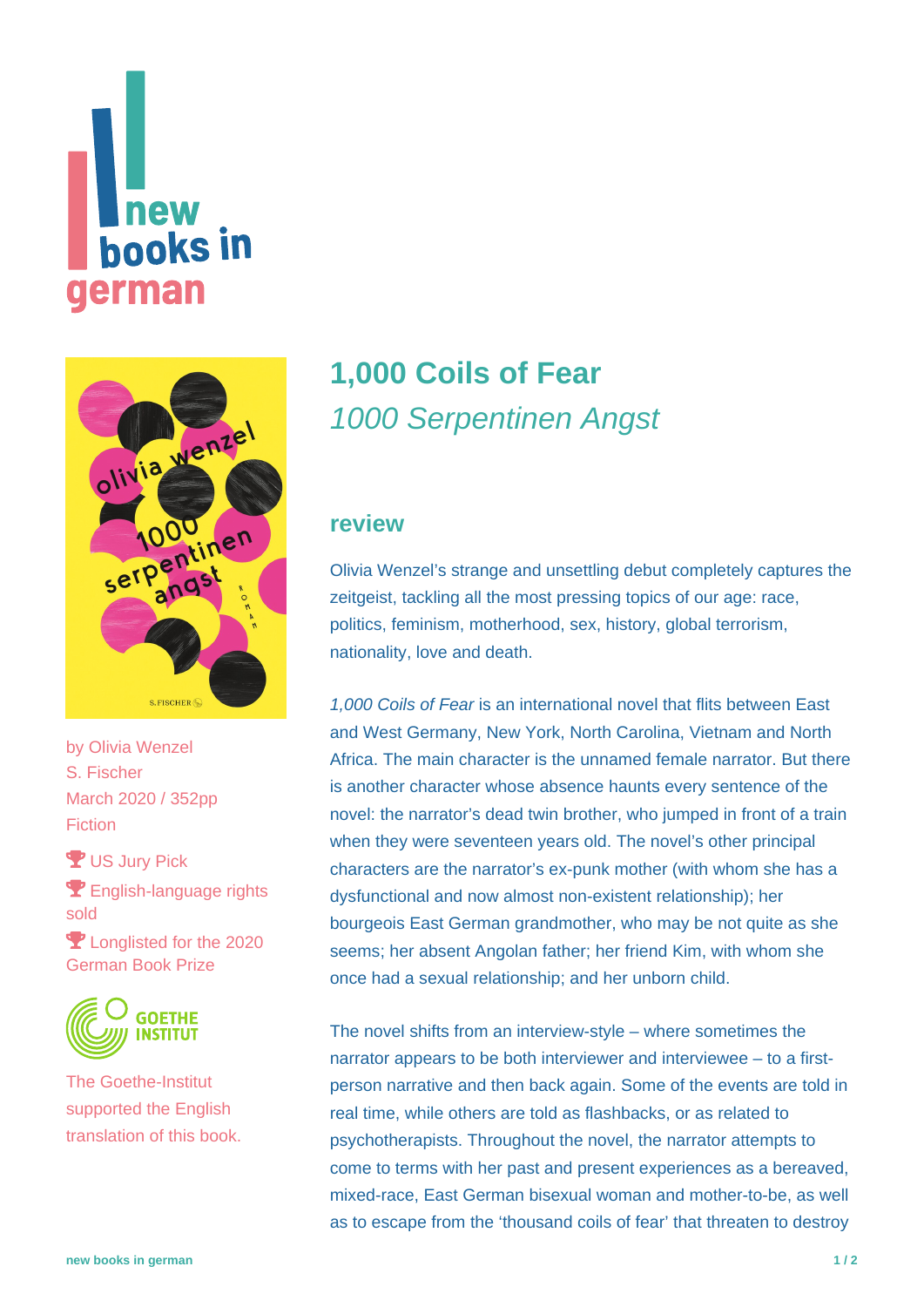# new **hooks in** german



by [Olivia Wenzel](https://www.new-books-in-german.com/recommendations/?searchInput=Olivia%20Wenzel) S. Fischer March 2020 / 352pp **Fiction** 

**Y** US Jury Pick **P** English-language rights sold P Longlisted for the 2020

German Book Prize



The Goethe-Institut supported the English translation of this book.

## **[1,000 Coils of Fear](https://www.new-books-in-german.com/recommendations/1000-coils-of-fear/)** 1000 Serpentinen Angst

#### **review**

Olivia Wenzel's strange and unsettling debut completely captures the zeitgeist, tackling all the most pressing topics of our age: race, politics, feminism, motherhood, sex, history, global terrorism, nationality, love and death.

1,000 Coils of Fear is an international novel that flits between East and West Germany, New York, North Carolina, Vietnam and North Africa. The main character is the unnamed female narrator. But there is another character whose absence haunts every sentence of the novel: the narrator's dead twin brother, who jumped in front of a train when they were seventeen years old. The novel's other principal characters are the narrator's ex-punk mother (with whom she has a dysfunctional and now almost non-existent relationship); her bourgeois East German grandmother, who may be not quite as she seems; her absent Angolan father; her friend Kim, with whom she once had a sexual relationship; and her unborn child.

The novel shifts from an interview-style – where sometimes the narrator appears to be both interviewer and interviewee – to a firstperson narrative and then back again. Some of the events are told in real time, while others are told as flashbacks, or as related to psychotherapists. Throughout the novel, the narrator attempts to come to terms with her past and present experiences as a bereaved, mixed-race, East German bisexual woman and mother-to-be, as well as to escape from the 'thousand coils of fear' that threaten to destroy